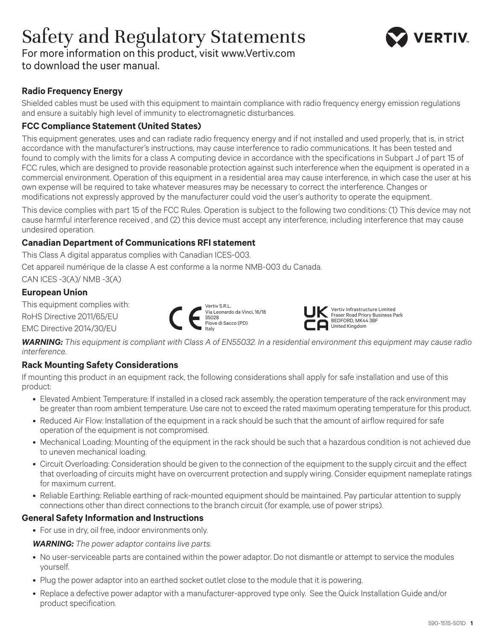# Safety and Regulatory Statements



For more information on this product, visit www.Vertiv.com to download the user manual.

## **Radio Frequency Energy**

Shielded cables must be used with this equipment to maintain compliance with radio frequency energy emission regulations and ensure a suitably high level of immunity to electromagnetic disturbances.

## **FCC Compliance Statement (United States)**

This equipment generates, uses and can radiate radio frequency energy and if not installed and used properly, that is, in strict accordance with the manufacturer's instructions, may cause interference to radio communications. It has been tested and found to comply with the limits for a class A computing device in accordance with the specifications in Subpart J of part 15 of FCC rules, which are designed to provide reasonable protection against such interference when the equipment is operated in a commercial environment. Operation of this equipment in a residential area may cause interference, in which case the user at his own expense will be required to take whatever measures may be necessary to correct the interference. Changes or modifications not expressly approved by the manufacturer could void the user's authority to operate the equipment.

This device complies with part 15 of the FCC Rules. Operation is subject to the following two conditions: (1) This device may not cause harmful interference received , and (2) this device must accept any interference, including interference that may cause undesired operation.

## **Canadian Department of Communications RFI statement**

This Class A digital apparatus complies with Canadian ICES-003.

Cet appareil numérique de la classe A est conforme a la norme NMB-003 du Canada.

CAN ICES -3(A)/ NMB -3(A)

### **European Union**

This equipment complies with:

RoHS Directive 2011/65/EU

EMC Directive 2014/30/EU





*WARNING: This equipment is compliant with Class A of EN55032. In a residential environment this equipment may cause radio interference.*

## **Rack Mounting Safety Considerations**

If mounting this product in an equipment rack, the following considerations shall apply for safe installation and use of this product:

- Elevated Ambient Temperature: If installed in a closed rack assembly, the operation temperature of the rack environment may be greater than room ambient temperature. Use care not to exceed the rated maximum operating temperature for this product.
- Reduced Air Flow: Installation of the equipment in a rack should be such that the amount of airflow required for safe operation of the equipment is not compromised.
- Mechanical Loading: Mounting of the equipment in the rack should be such that a hazardous condition is not achieved due to uneven mechanical loading.
- Circuit Overloading: Consideration should be given to the connection of the equipment to the supply circuit and the effect that overloading of circuits might have on overcurrent protection and supply wiring. Consider equipment nameplate ratings for maximum current.
- Reliable Earthing: Reliable earthing of rack-mounted equipment should be maintained. Pay particular attention to supply connections other than direct connections to the branch circuit (for example, use of power strips).

### **General Safety Information and Instructions**

• For use in dry, oil free, indoor environments only.

*WARNING: The power adaptor contains live parts.*

- No user-serviceable parts are contained within the power adaptor. Do not dismantle or attempt to service the modules yourself.
- Plug the power adaptor into an earthed socket outlet close to the module that it is powering.
- Replace a defective power adaptor with a manufacturer-approved type only. See the Quick Installation Guide and/or product specification.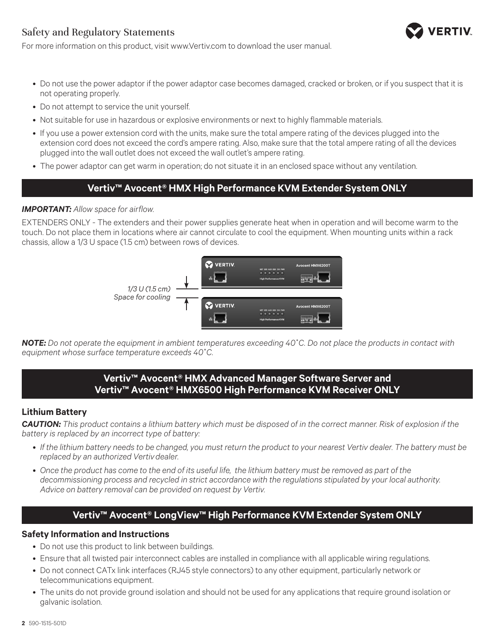## Safety and Regulatory Statements



For more information on this product, visit www.Vertiv.com to download the user manual.

- Do not use the power adaptor if the power adaptor case becomes damaged, cracked or broken, or if you suspect that it is not operating properly.
- Do not attempt to service the unit yourself.
- Not suitable for use in hazardous or explosive environments or next to highly flammable materials.
- If you use a power extension cord with the units, make sure the total ampere rating of the devices plugged into the extension cord does not exceed the cord's ampere rating. Also, make sure that the total ampere rating of all the devices plugged into the wall outlet does not exceed the wall outlet's ampere rating.
- The power adaptor can get warm in operation; do not situate it in an enclosed space without any ventilation.

## **Vertiv™ Avocent® HMX High Performance KVM Extender System ONLY**

### *IMPORTANT: Allow space for airflow.*

EXTENDERS ONLY - The extenders and their power supplies generate heat when in operation and will become warm to the touch. Do not place them in locations where air cannot circulate to cool the equipment. When mounting units within a rack chassis, allow a 1/3 U space (1.5 cm) between rows of devices.



*NOTE: Do not operate the equipment in ambient temperatures exceeding 40*˚*C. Do not place the products in contact with equipment whose surface temperature exceeds 40*˚*C.*

## **Vertiv™ Avocent® HMX Advanced Manager Software Server and Vertiv™ Avocent® HMX6500 High Performance KVM Receiver ONLY**

### **Lithium Battery**

*CAUTION: This product contains a lithium battery which must be disposed of in the correct manner. Risk of explosion if the battery is replaced by an incorrect type of battery:*

- *• If the lithium battery needs to be changed, you must return the product to your nearest Vertiv dealer. The battery must be replaced by an authorized Vertivdealer.*
- *• Once the product has come to the end of its useful life, the lithium battery must be removed as part of the decommissioning process and recycled in strict accordance with the regulations stipulated by your local authority. Advice on battery removal can be provided on request by Vertiv.*

## **Vertiv™ Avocent® LongView™ High Performance KVM Extender System ONLY**

### **Safety Information and Instructions**

- Do not use this product to link between buildings.
- Ensure that all twisted pair interconnect cables are installed in compliance with all applicable wiring regulations.
- Do not connect CATx link interfaces (RJ45 style connectors) to any other equipment, particularly network or telecommunications equipment.
- The units do not provide ground isolation and should not be used for any applications that require ground isolation or galvanic isolation.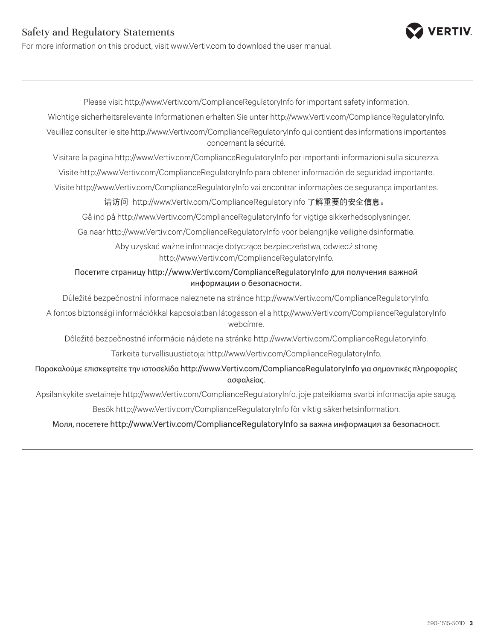## Safety and Regulatory Statements

For more information on this product, visit www.Vertiv.com to download the user manual.

Please visit http://www.Vertiv.com/ComplianceRegulatoryInfo for important safety information. Wichtige sicherheitsrelevante Informationen erhalten Sie unter http://www.Vertiv.com/ComplianceRegulatoryInfo. Veuillez consulter le site http://www.Vertiv.com/ComplianceRegulatoryInfo qui contient des informations importantes concernant la sécurité. Visitare la pagina http://www.Vertiv.com/ComplianceRegulatoryInfo per importanti informazioni sulla sicurezza. Visite http://www.Vertiv.com/ComplianceRegulatoryInfo para obtener información de seguridad importante. Visite http://www.Vertiv.com/ComplianceRegulatoryInfo vai encontrar informações de segurança importantes. 请访问 http://www.Vertiv.com/ComplianceRegulatoryInfo 了解重要的安全信息。 Gå ind på http://www.Vertiv.com/ComplianceRegulatoryInfo for vigtige sikkerhedsoplysninger. Ga naar http://www.Vertiv.com/ComplianceRegulatoryInfo voor belangrijke veiligheidsinformatie. Aby uzyskać ważne informacje dotyczące bezpieczeństwa, odwiedź stronę http://www.Vertiv.com/ComplianceRegulatoryInfo. Посетите страницу http://www.Vertiv.com/ComplianceRegulatoryInfo для получения важной информации о безопасности. Důležité bezpečnostní informace naleznete na stránce http://www.Vertiv.com/ComplianceRegulatoryInfo. A fontos biztonsági információkkal kapcsolatban látogasson el a http://www.Vertiv.com/ComplianceRegulatoryInfo webcímre. Dôležité bezpečnostné informácie nájdete na stránke http://www.Vertiv.com/ComplianceRegulatoryInfo. Tärkeitä turvallisuustietoja: http://www.Vertiv.com/ComplianceRegulatoryInfo. Παρακαλούμε επισκεφτείτε την ιστοσελίδα http://www.Vertiv.com/ComplianceRegulatoryInfo για σημαντικές πληροφορίες ασφαλείας. Apsilankykite svetainėje http://www.Vertiv.com/ComplianceRegulatoryInfo, joje pateikiama svarbi informacija apie saugą. Besök http://www.Vertiv.com/ComplianceRegulatoryInfo för viktig säkerhetsinformation. Моля, посетете http://www.Vertiv.com/ComplianceRegulatoryInfo за важна информация за безопасност.

**ERTIV**